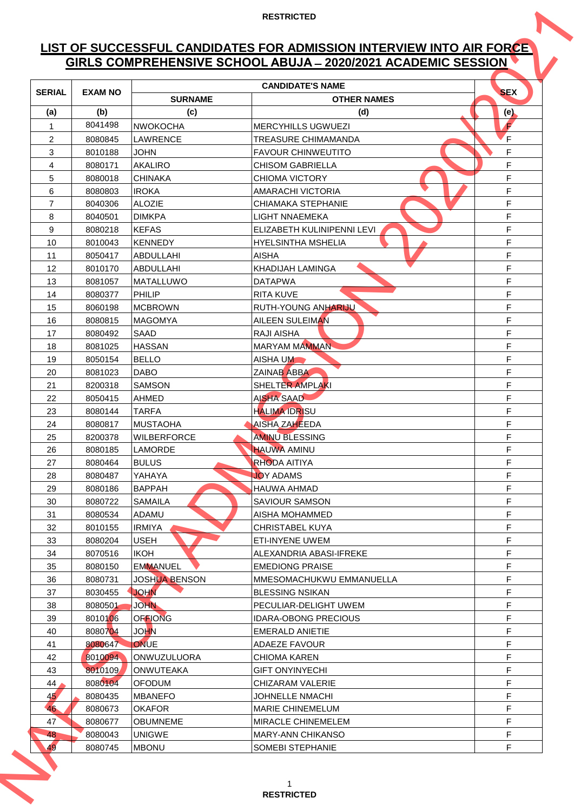# **LIST OF SUCCESSFUL CANDIDATES FOR ADMISSION INTERVIEW INTO AIR FORCE GIRLS COMPREHENSIVE SCHOOL ABUJA ̶2020/2021 ACADEMIC SESSION**

| <b>CANDIDATE'S NAME</b><br><b>SEX</b><br><b>SERIAL</b><br><b>EXAM NO</b><br><b>SURNAME</b><br><b>OTHER NAMES</b><br>(c)<br>(a)<br>(b)<br>(d)<br>(e)<br>8041498<br>F<br><b>NWOKOCHA</b><br><b>MERCYHILLS UGWUEZI</b><br>$\mathbf{1}$<br>F<br>2<br>8080845<br>LAWRENCE<br>TREASURE CHIMAMANDA<br>F<br>3<br>8010188<br>JOHN<br><b>FAVOUR CHINWEUTITO</b><br>F<br>$\overline{4}$<br><b>AKALIRO</b><br>8080171<br><b>CHISOM GABRIELLA</b><br>F<br>5<br><b>CHINAKA</b><br><b>CHIOMA VICTORY</b><br>8080018<br>F<br>6<br><b>IROKA</b><br>8080803<br><b>AMARACHI VICTORIA</b><br>F<br>$\overline{7}$<br><b>ALOZIE</b><br>8040306<br><b>CHIAMAKA STEPHANIE</b><br>F<br>8<br>8040501<br><b>DIMKPA</b><br>LIGHT NNAEMEKA<br>F<br>9<br>8080218<br><b>KEFAS</b><br>ELIZABETH KULINIPENNI LEVI<br>F<br>10<br>8010043<br><b>KENNEDY</b><br><b>HYELSINTHA MSHELIA</b><br>F<br>11<br><b>AISHA</b><br>8050417<br><b>ABDULLAHI</b><br>F<br>12<br>KHADIJAH LAMINGA<br>8010170<br><b>ABDULLAHI</b><br>F<br>13<br>8081057<br>MATALLUWO<br><b>DATAPWA</b><br>F<br>14<br><b>PHILIP</b><br>8080377<br><b>RITA KUVE</b><br>F<br>15<br><b>MCBROWN</b><br><b>RUTH-YOUNG ANHARIJU</b><br>8060198<br>F<br>16<br><b>AILEEN SULEIMAN</b><br>8080815<br><b>MAGOMYA</b><br>F<br>17<br>8080492<br><b>SAAD</b><br><b>RAJI AISHA</b><br>F<br>18<br><b>HASSAN</b><br><b>MARYAM MAMMAN</b><br>8081025<br>F<br>19<br><b>BELLO</b><br>8050154<br><b>AISHA UM</b><br>F<br>20<br><b>DABO</b><br><b>ZAINAB ABBA</b><br>8081023<br>F<br>SHELTER AMPLAKI<br>21<br><b>SAMSON</b><br>8200318<br>F<br><b>AISHA SAAD</b><br>22<br>8050415<br>AHMED<br>F<br><b>HALIMA IDRISU</b><br>23<br>8080144<br>TARFA<br>F<br><b>AISHA ZAHEEDA</b><br>24<br>8080817<br><b>MUSTAOHA</b><br><b>AMINU BLESSING</b><br>F<br>25<br><b>WILBERFORCE</b><br>8200378<br>F<br><b>HAUWA AMINU</b><br>26<br>8080185<br><b>LAMORDE</b><br>F<br><b>BULUS</b><br><b>RHODA AITIYA</b><br>27<br>8080464<br>F<br>28<br>YAHAYA<br><b>JOY ADAMS</b><br>8080487<br>F<br><b>BAPPAH</b><br>29<br>8080186<br>HAUWA AHMAD<br>F<br>30<br><b>SAMAILA</b><br><b>SAVIOUR SAMSON</b><br>8080722<br>F<br>31<br>ADAMU<br>AISHA MOHAMMED<br>8080534<br>F<br>32<br><b>IRMIYA</b><br>CHRISTABEL KUYA<br>8010155<br>F<br><b>USEH</b><br>33<br>8080204<br><b>ETI-INYENE UWEM</b><br>F<br><b>IKOH</b><br>34<br>8070516<br>ALEXANDRIA ABASI-IFREKE<br>F<br><b>EMMANUEL</b><br><b>EMEDIONG PRAISE</b><br>35<br>8080150<br>F<br><b>JOSHUA BENSON</b><br>36<br>MMESOMACHUKWU EMMANUELLA<br>8080731<br><b>JOHN</b><br>F<br>37<br>8030455<br><b>BLESSING NSIKAN</b><br>F<br><b>JOHN</b><br>38<br>8080501<br>PECULIAR-DELIGHT UWEM<br><b>OFFIONG</b><br>F<br>39<br>8010106<br><b>IDARA-OBONG PRECIOUS</b><br>F<br><b>JOHN</b><br>8080704<br>40<br><b>EMERALD ANIETIE</b><br><b>ONUE</b><br>F<br>8080647<br>41<br><b>ADAEZE FAVOUR</b><br>F<br>42<br>8010094<br>ONWUZULUORA<br><b>CHIOMA KAREN</b><br>F<br>43<br>8010109<br><b>ONWUTEAKA</b><br><b>GIFT ONYINYECHI</b><br>F<br>8080104<br><b>OFODUM</b><br><b>CHIZARAM VALERIE</b><br>44<br>F<br>45<br>8080435<br><b>MBANEFO</b><br><b>JOHNELLE NMACHI</b><br>46<br>F<br>8080673<br><b>OKAFOR</b><br><b>MARIE CHINEMELUM</b><br>F<br>47<br>8080677<br><b>MIRACLE CHINEMELEM</b><br>OBUMNEME<br>F<br>48<br>8080043<br><b>UNIGWE</b><br><b>MARY-ANN CHIKANSO</b> |    |         |              | GIRLS COMPREHENSIVE SCHOOL ABUJA - 2020/2021 ACADEMIC SESSION |   |
|----------------------------------------------------------------------------------------------------------------------------------------------------------------------------------------------------------------------------------------------------------------------------------------------------------------------------------------------------------------------------------------------------------------------------------------------------------------------------------------------------------------------------------------------------------------------------------------------------------------------------------------------------------------------------------------------------------------------------------------------------------------------------------------------------------------------------------------------------------------------------------------------------------------------------------------------------------------------------------------------------------------------------------------------------------------------------------------------------------------------------------------------------------------------------------------------------------------------------------------------------------------------------------------------------------------------------------------------------------------------------------------------------------------------------------------------------------------------------------------------------------------------------------------------------------------------------------------------------------------------------------------------------------------------------------------------------------------------------------------------------------------------------------------------------------------------------------------------------------------------------------------------------------------------------------------------------------------------------------------------------------------------------------------------------------------------------------------------------------------------------------------------------------------------------------------------------------------------------------------------------------------------------------------------------------------------------------------------------------------------------------------------------------------------------------------------------------------------------------------------------------------------------------------------------------------------------------------------------------------------------------------------------------------------------------------------------------------------------------------------------------------------------------------------------------------------------------------------------------------------------------------------------------------------------------------------------------------------------------------------------------------------------------------------------------------------------------------------------------------------------------------------------------------------------------------------------------------------------------------------------------------------------------------------------|----|---------|--------------|---------------------------------------------------------------|---|
|                                                                                                                                                                                                                                                                                                                                                                                                                                                                                                                                                                                                                                                                                                                                                                                                                                                                                                                                                                                                                                                                                                                                                                                                                                                                                                                                                                                                                                                                                                                                                                                                                                                                                                                                                                                                                                                                                                                                                                                                                                                                                                                                                                                                                                                                                                                                                                                                                                                                                                                                                                                                                                                                                                                                                                                                                                                                                                                                                                                                                                                                                                                                                                                                                                                                                                    |    |         |              |                                                               |   |
|                                                                                                                                                                                                                                                                                                                                                                                                                                                                                                                                                                                                                                                                                                                                                                                                                                                                                                                                                                                                                                                                                                                                                                                                                                                                                                                                                                                                                                                                                                                                                                                                                                                                                                                                                                                                                                                                                                                                                                                                                                                                                                                                                                                                                                                                                                                                                                                                                                                                                                                                                                                                                                                                                                                                                                                                                                                                                                                                                                                                                                                                                                                                                                                                                                                                                                    |    |         |              |                                                               |   |
|                                                                                                                                                                                                                                                                                                                                                                                                                                                                                                                                                                                                                                                                                                                                                                                                                                                                                                                                                                                                                                                                                                                                                                                                                                                                                                                                                                                                                                                                                                                                                                                                                                                                                                                                                                                                                                                                                                                                                                                                                                                                                                                                                                                                                                                                                                                                                                                                                                                                                                                                                                                                                                                                                                                                                                                                                                                                                                                                                                                                                                                                                                                                                                                                                                                                                                    |    |         |              |                                                               |   |
|                                                                                                                                                                                                                                                                                                                                                                                                                                                                                                                                                                                                                                                                                                                                                                                                                                                                                                                                                                                                                                                                                                                                                                                                                                                                                                                                                                                                                                                                                                                                                                                                                                                                                                                                                                                                                                                                                                                                                                                                                                                                                                                                                                                                                                                                                                                                                                                                                                                                                                                                                                                                                                                                                                                                                                                                                                                                                                                                                                                                                                                                                                                                                                                                                                                                                                    |    |         |              |                                                               |   |
|                                                                                                                                                                                                                                                                                                                                                                                                                                                                                                                                                                                                                                                                                                                                                                                                                                                                                                                                                                                                                                                                                                                                                                                                                                                                                                                                                                                                                                                                                                                                                                                                                                                                                                                                                                                                                                                                                                                                                                                                                                                                                                                                                                                                                                                                                                                                                                                                                                                                                                                                                                                                                                                                                                                                                                                                                                                                                                                                                                                                                                                                                                                                                                                                                                                                                                    |    |         |              |                                                               |   |
|                                                                                                                                                                                                                                                                                                                                                                                                                                                                                                                                                                                                                                                                                                                                                                                                                                                                                                                                                                                                                                                                                                                                                                                                                                                                                                                                                                                                                                                                                                                                                                                                                                                                                                                                                                                                                                                                                                                                                                                                                                                                                                                                                                                                                                                                                                                                                                                                                                                                                                                                                                                                                                                                                                                                                                                                                                                                                                                                                                                                                                                                                                                                                                                                                                                                                                    |    |         |              |                                                               |   |
|                                                                                                                                                                                                                                                                                                                                                                                                                                                                                                                                                                                                                                                                                                                                                                                                                                                                                                                                                                                                                                                                                                                                                                                                                                                                                                                                                                                                                                                                                                                                                                                                                                                                                                                                                                                                                                                                                                                                                                                                                                                                                                                                                                                                                                                                                                                                                                                                                                                                                                                                                                                                                                                                                                                                                                                                                                                                                                                                                                                                                                                                                                                                                                                                                                                                                                    |    |         |              |                                                               |   |
|                                                                                                                                                                                                                                                                                                                                                                                                                                                                                                                                                                                                                                                                                                                                                                                                                                                                                                                                                                                                                                                                                                                                                                                                                                                                                                                                                                                                                                                                                                                                                                                                                                                                                                                                                                                                                                                                                                                                                                                                                                                                                                                                                                                                                                                                                                                                                                                                                                                                                                                                                                                                                                                                                                                                                                                                                                                                                                                                                                                                                                                                                                                                                                                                                                                                                                    |    |         |              |                                                               |   |
|                                                                                                                                                                                                                                                                                                                                                                                                                                                                                                                                                                                                                                                                                                                                                                                                                                                                                                                                                                                                                                                                                                                                                                                                                                                                                                                                                                                                                                                                                                                                                                                                                                                                                                                                                                                                                                                                                                                                                                                                                                                                                                                                                                                                                                                                                                                                                                                                                                                                                                                                                                                                                                                                                                                                                                                                                                                                                                                                                                                                                                                                                                                                                                                                                                                                                                    |    |         |              |                                                               |   |
|                                                                                                                                                                                                                                                                                                                                                                                                                                                                                                                                                                                                                                                                                                                                                                                                                                                                                                                                                                                                                                                                                                                                                                                                                                                                                                                                                                                                                                                                                                                                                                                                                                                                                                                                                                                                                                                                                                                                                                                                                                                                                                                                                                                                                                                                                                                                                                                                                                                                                                                                                                                                                                                                                                                                                                                                                                                                                                                                                                                                                                                                                                                                                                                                                                                                                                    |    |         |              |                                                               |   |
|                                                                                                                                                                                                                                                                                                                                                                                                                                                                                                                                                                                                                                                                                                                                                                                                                                                                                                                                                                                                                                                                                                                                                                                                                                                                                                                                                                                                                                                                                                                                                                                                                                                                                                                                                                                                                                                                                                                                                                                                                                                                                                                                                                                                                                                                                                                                                                                                                                                                                                                                                                                                                                                                                                                                                                                                                                                                                                                                                                                                                                                                                                                                                                                                                                                                                                    |    |         |              |                                                               |   |
|                                                                                                                                                                                                                                                                                                                                                                                                                                                                                                                                                                                                                                                                                                                                                                                                                                                                                                                                                                                                                                                                                                                                                                                                                                                                                                                                                                                                                                                                                                                                                                                                                                                                                                                                                                                                                                                                                                                                                                                                                                                                                                                                                                                                                                                                                                                                                                                                                                                                                                                                                                                                                                                                                                                                                                                                                                                                                                                                                                                                                                                                                                                                                                                                                                                                                                    |    |         |              |                                                               |   |
|                                                                                                                                                                                                                                                                                                                                                                                                                                                                                                                                                                                                                                                                                                                                                                                                                                                                                                                                                                                                                                                                                                                                                                                                                                                                                                                                                                                                                                                                                                                                                                                                                                                                                                                                                                                                                                                                                                                                                                                                                                                                                                                                                                                                                                                                                                                                                                                                                                                                                                                                                                                                                                                                                                                                                                                                                                                                                                                                                                                                                                                                                                                                                                                                                                                                                                    |    |         |              |                                                               |   |
|                                                                                                                                                                                                                                                                                                                                                                                                                                                                                                                                                                                                                                                                                                                                                                                                                                                                                                                                                                                                                                                                                                                                                                                                                                                                                                                                                                                                                                                                                                                                                                                                                                                                                                                                                                                                                                                                                                                                                                                                                                                                                                                                                                                                                                                                                                                                                                                                                                                                                                                                                                                                                                                                                                                                                                                                                                                                                                                                                                                                                                                                                                                                                                                                                                                                                                    |    |         |              |                                                               |   |
|                                                                                                                                                                                                                                                                                                                                                                                                                                                                                                                                                                                                                                                                                                                                                                                                                                                                                                                                                                                                                                                                                                                                                                                                                                                                                                                                                                                                                                                                                                                                                                                                                                                                                                                                                                                                                                                                                                                                                                                                                                                                                                                                                                                                                                                                                                                                                                                                                                                                                                                                                                                                                                                                                                                                                                                                                                                                                                                                                                                                                                                                                                                                                                                                                                                                                                    |    |         |              |                                                               |   |
|                                                                                                                                                                                                                                                                                                                                                                                                                                                                                                                                                                                                                                                                                                                                                                                                                                                                                                                                                                                                                                                                                                                                                                                                                                                                                                                                                                                                                                                                                                                                                                                                                                                                                                                                                                                                                                                                                                                                                                                                                                                                                                                                                                                                                                                                                                                                                                                                                                                                                                                                                                                                                                                                                                                                                                                                                                                                                                                                                                                                                                                                                                                                                                                                                                                                                                    |    |         |              |                                                               |   |
|                                                                                                                                                                                                                                                                                                                                                                                                                                                                                                                                                                                                                                                                                                                                                                                                                                                                                                                                                                                                                                                                                                                                                                                                                                                                                                                                                                                                                                                                                                                                                                                                                                                                                                                                                                                                                                                                                                                                                                                                                                                                                                                                                                                                                                                                                                                                                                                                                                                                                                                                                                                                                                                                                                                                                                                                                                                                                                                                                                                                                                                                                                                                                                                                                                                                                                    |    |         |              |                                                               |   |
|                                                                                                                                                                                                                                                                                                                                                                                                                                                                                                                                                                                                                                                                                                                                                                                                                                                                                                                                                                                                                                                                                                                                                                                                                                                                                                                                                                                                                                                                                                                                                                                                                                                                                                                                                                                                                                                                                                                                                                                                                                                                                                                                                                                                                                                                                                                                                                                                                                                                                                                                                                                                                                                                                                                                                                                                                                                                                                                                                                                                                                                                                                                                                                                                                                                                                                    |    |         |              |                                                               |   |
|                                                                                                                                                                                                                                                                                                                                                                                                                                                                                                                                                                                                                                                                                                                                                                                                                                                                                                                                                                                                                                                                                                                                                                                                                                                                                                                                                                                                                                                                                                                                                                                                                                                                                                                                                                                                                                                                                                                                                                                                                                                                                                                                                                                                                                                                                                                                                                                                                                                                                                                                                                                                                                                                                                                                                                                                                                                                                                                                                                                                                                                                                                                                                                                                                                                                                                    |    |         |              |                                                               |   |
|                                                                                                                                                                                                                                                                                                                                                                                                                                                                                                                                                                                                                                                                                                                                                                                                                                                                                                                                                                                                                                                                                                                                                                                                                                                                                                                                                                                                                                                                                                                                                                                                                                                                                                                                                                                                                                                                                                                                                                                                                                                                                                                                                                                                                                                                                                                                                                                                                                                                                                                                                                                                                                                                                                                                                                                                                                                                                                                                                                                                                                                                                                                                                                                                                                                                                                    |    |         |              |                                                               |   |
|                                                                                                                                                                                                                                                                                                                                                                                                                                                                                                                                                                                                                                                                                                                                                                                                                                                                                                                                                                                                                                                                                                                                                                                                                                                                                                                                                                                                                                                                                                                                                                                                                                                                                                                                                                                                                                                                                                                                                                                                                                                                                                                                                                                                                                                                                                                                                                                                                                                                                                                                                                                                                                                                                                                                                                                                                                                                                                                                                                                                                                                                                                                                                                                                                                                                                                    |    |         |              |                                                               |   |
|                                                                                                                                                                                                                                                                                                                                                                                                                                                                                                                                                                                                                                                                                                                                                                                                                                                                                                                                                                                                                                                                                                                                                                                                                                                                                                                                                                                                                                                                                                                                                                                                                                                                                                                                                                                                                                                                                                                                                                                                                                                                                                                                                                                                                                                                                                                                                                                                                                                                                                                                                                                                                                                                                                                                                                                                                                                                                                                                                                                                                                                                                                                                                                                                                                                                                                    |    |         |              |                                                               |   |
|                                                                                                                                                                                                                                                                                                                                                                                                                                                                                                                                                                                                                                                                                                                                                                                                                                                                                                                                                                                                                                                                                                                                                                                                                                                                                                                                                                                                                                                                                                                                                                                                                                                                                                                                                                                                                                                                                                                                                                                                                                                                                                                                                                                                                                                                                                                                                                                                                                                                                                                                                                                                                                                                                                                                                                                                                                                                                                                                                                                                                                                                                                                                                                                                                                                                                                    |    |         |              |                                                               |   |
|                                                                                                                                                                                                                                                                                                                                                                                                                                                                                                                                                                                                                                                                                                                                                                                                                                                                                                                                                                                                                                                                                                                                                                                                                                                                                                                                                                                                                                                                                                                                                                                                                                                                                                                                                                                                                                                                                                                                                                                                                                                                                                                                                                                                                                                                                                                                                                                                                                                                                                                                                                                                                                                                                                                                                                                                                                                                                                                                                                                                                                                                                                                                                                                                                                                                                                    |    |         |              |                                                               |   |
|                                                                                                                                                                                                                                                                                                                                                                                                                                                                                                                                                                                                                                                                                                                                                                                                                                                                                                                                                                                                                                                                                                                                                                                                                                                                                                                                                                                                                                                                                                                                                                                                                                                                                                                                                                                                                                                                                                                                                                                                                                                                                                                                                                                                                                                                                                                                                                                                                                                                                                                                                                                                                                                                                                                                                                                                                                                                                                                                                                                                                                                                                                                                                                                                                                                                                                    |    |         |              |                                                               |   |
|                                                                                                                                                                                                                                                                                                                                                                                                                                                                                                                                                                                                                                                                                                                                                                                                                                                                                                                                                                                                                                                                                                                                                                                                                                                                                                                                                                                                                                                                                                                                                                                                                                                                                                                                                                                                                                                                                                                                                                                                                                                                                                                                                                                                                                                                                                                                                                                                                                                                                                                                                                                                                                                                                                                                                                                                                                                                                                                                                                                                                                                                                                                                                                                                                                                                                                    |    |         |              |                                                               |   |
|                                                                                                                                                                                                                                                                                                                                                                                                                                                                                                                                                                                                                                                                                                                                                                                                                                                                                                                                                                                                                                                                                                                                                                                                                                                                                                                                                                                                                                                                                                                                                                                                                                                                                                                                                                                                                                                                                                                                                                                                                                                                                                                                                                                                                                                                                                                                                                                                                                                                                                                                                                                                                                                                                                                                                                                                                                                                                                                                                                                                                                                                                                                                                                                                                                                                                                    |    |         |              |                                                               |   |
|                                                                                                                                                                                                                                                                                                                                                                                                                                                                                                                                                                                                                                                                                                                                                                                                                                                                                                                                                                                                                                                                                                                                                                                                                                                                                                                                                                                                                                                                                                                                                                                                                                                                                                                                                                                                                                                                                                                                                                                                                                                                                                                                                                                                                                                                                                                                                                                                                                                                                                                                                                                                                                                                                                                                                                                                                                                                                                                                                                                                                                                                                                                                                                                                                                                                                                    |    |         |              |                                                               |   |
|                                                                                                                                                                                                                                                                                                                                                                                                                                                                                                                                                                                                                                                                                                                                                                                                                                                                                                                                                                                                                                                                                                                                                                                                                                                                                                                                                                                                                                                                                                                                                                                                                                                                                                                                                                                                                                                                                                                                                                                                                                                                                                                                                                                                                                                                                                                                                                                                                                                                                                                                                                                                                                                                                                                                                                                                                                                                                                                                                                                                                                                                                                                                                                                                                                                                                                    |    |         |              |                                                               |   |
|                                                                                                                                                                                                                                                                                                                                                                                                                                                                                                                                                                                                                                                                                                                                                                                                                                                                                                                                                                                                                                                                                                                                                                                                                                                                                                                                                                                                                                                                                                                                                                                                                                                                                                                                                                                                                                                                                                                                                                                                                                                                                                                                                                                                                                                                                                                                                                                                                                                                                                                                                                                                                                                                                                                                                                                                                                                                                                                                                                                                                                                                                                                                                                                                                                                                                                    |    |         |              |                                                               |   |
|                                                                                                                                                                                                                                                                                                                                                                                                                                                                                                                                                                                                                                                                                                                                                                                                                                                                                                                                                                                                                                                                                                                                                                                                                                                                                                                                                                                                                                                                                                                                                                                                                                                                                                                                                                                                                                                                                                                                                                                                                                                                                                                                                                                                                                                                                                                                                                                                                                                                                                                                                                                                                                                                                                                                                                                                                                                                                                                                                                                                                                                                                                                                                                                                                                                                                                    |    |         |              |                                                               |   |
|                                                                                                                                                                                                                                                                                                                                                                                                                                                                                                                                                                                                                                                                                                                                                                                                                                                                                                                                                                                                                                                                                                                                                                                                                                                                                                                                                                                                                                                                                                                                                                                                                                                                                                                                                                                                                                                                                                                                                                                                                                                                                                                                                                                                                                                                                                                                                                                                                                                                                                                                                                                                                                                                                                                                                                                                                                                                                                                                                                                                                                                                                                                                                                                                                                                                                                    |    |         |              |                                                               |   |
|                                                                                                                                                                                                                                                                                                                                                                                                                                                                                                                                                                                                                                                                                                                                                                                                                                                                                                                                                                                                                                                                                                                                                                                                                                                                                                                                                                                                                                                                                                                                                                                                                                                                                                                                                                                                                                                                                                                                                                                                                                                                                                                                                                                                                                                                                                                                                                                                                                                                                                                                                                                                                                                                                                                                                                                                                                                                                                                                                                                                                                                                                                                                                                                                                                                                                                    |    |         |              |                                                               |   |
|                                                                                                                                                                                                                                                                                                                                                                                                                                                                                                                                                                                                                                                                                                                                                                                                                                                                                                                                                                                                                                                                                                                                                                                                                                                                                                                                                                                                                                                                                                                                                                                                                                                                                                                                                                                                                                                                                                                                                                                                                                                                                                                                                                                                                                                                                                                                                                                                                                                                                                                                                                                                                                                                                                                                                                                                                                                                                                                                                                                                                                                                                                                                                                                                                                                                                                    |    |         |              |                                                               |   |
|                                                                                                                                                                                                                                                                                                                                                                                                                                                                                                                                                                                                                                                                                                                                                                                                                                                                                                                                                                                                                                                                                                                                                                                                                                                                                                                                                                                                                                                                                                                                                                                                                                                                                                                                                                                                                                                                                                                                                                                                                                                                                                                                                                                                                                                                                                                                                                                                                                                                                                                                                                                                                                                                                                                                                                                                                                                                                                                                                                                                                                                                                                                                                                                                                                                                                                    |    |         |              |                                                               |   |
|                                                                                                                                                                                                                                                                                                                                                                                                                                                                                                                                                                                                                                                                                                                                                                                                                                                                                                                                                                                                                                                                                                                                                                                                                                                                                                                                                                                                                                                                                                                                                                                                                                                                                                                                                                                                                                                                                                                                                                                                                                                                                                                                                                                                                                                                                                                                                                                                                                                                                                                                                                                                                                                                                                                                                                                                                                                                                                                                                                                                                                                                                                                                                                                                                                                                                                    |    |         |              |                                                               |   |
|                                                                                                                                                                                                                                                                                                                                                                                                                                                                                                                                                                                                                                                                                                                                                                                                                                                                                                                                                                                                                                                                                                                                                                                                                                                                                                                                                                                                                                                                                                                                                                                                                                                                                                                                                                                                                                                                                                                                                                                                                                                                                                                                                                                                                                                                                                                                                                                                                                                                                                                                                                                                                                                                                                                                                                                                                                                                                                                                                                                                                                                                                                                                                                                                                                                                                                    |    |         |              |                                                               |   |
|                                                                                                                                                                                                                                                                                                                                                                                                                                                                                                                                                                                                                                                                                                                                                                                                                                                                                                                                                                                                                                                                                                                                                                                                                                                                                                                                                                                                                                                                                                                                                                                                                                                                                                                                                                                                                                                                                                                                                                                                                                                                                                                                                                                                                                                                                                                                                                                                                                                                                                                                                                                                                                                                                                                                                                                                                                                                                                                                                                                                                                                                                                                                                                                                                                                                                                    |    |         |              |                                                               |   |
|                                                                                                                                                                                                                                                                                                                                                                                                                                                                                                                                                                                                                                                                                                                                                                                                                                                                                                                                                                                                                                                                                                                                                                                                                                                                                                                                                                                                                                                                                                                                                                                                                                                                                                                                                                                                                                                                                                                                                                                                                                                                                                                                                                                                                                                                                                                                                                                                                                                                                                                                                                                                                                                                                                                                                                                                                                                                                                                                                                                                                                                                                                                                                                                                                                                                                                    |    |         |              |                                                               |   |
|                                                                                                                                                                                                                                                                                                                                                                                                                                                                                                                                                                                                                                                                                                                                                                                                                                                                                                                                                                                                                                                                                                                                                                                                                                                                                                                                                                                                                                                                                                                                                                                                                                                                                                                                                                                                                                                                                                                                                                                                                                                                                                                                                                                                                                                                                                                                                                                                                                                                                                                                                                                                                                                                                                                                                                                                                                                                                                                                                                                                                                                                                                                                                                                                                                                                                                    |    |         |              |                                                               |   |
|                                                                                                                                                                                                                                                                                                                                                                                                                                                                                                                                                                                                                                                                                                                                                                                                                                                                                                                                                                                                                                                                                                                                                                                                                                                                                                                                                                                                                                                                                                                                                                                                                                                                                                                                                                                                                                                                                                                                                                                                                                                                                                                                                                                                                                                                                                                                                                                                                                                                                                                                                                                                                                                                                                                                                                                                                                                                                                                                                                                                                                                                                                                                                                                                                                                                                                    |    |         |              |                                                               |   |
|                                                                                                                                                                                                                                                                                                                                                                                                                                                                                                                                                                                                                                                                                                                                                                                                                                                                                                                                                                                                                                                                                                                                                                                                                                                                                                                                                                                                                                                                                                                                                                                                                                                                                                                                                                                                                                                                                                                                                                                                                                                                                                                                                                                                                                                                                                                                                                                                                                                                                                                                                                                                                                                                                                                                                                                                                                                                                                                                                                                                                                                                                                                                                                                                                                                                                                    |    |         |              |                                                               |   |
|                                                                                                                                                                                                                                                                                                                                                                                                                                                                                                                                                                                                                                                                                                                                                                                                                                                                                                                                                                                                                                                                                                                                                                                                                                                                                                                                                                                                                                                                                                                                                                                                                                                                                                                                                                                                                                                                                                                                                                                                                                                                                                                                                                                                                                                                                                                                                                                                                                                                                                                                                                                                                                                                                                                                                                                                                                                                                                                                                                                                                                                                                                                                                                                                                                                                                                    |    |         |              |                                                               |   |
|                                                                                                                                                                                                                                                                                                                                                                                                                                                                                                                                                                                                                                                                                                                                                                                                                                                                                                                                                                                                                                                                                                                                                                                                                                                                                                                                                                                                                                                                                                                                                                                                                                                                                                                                                                                                                                                                                                                                                                                                                                                                                                                                                                                                                                                                                                                                                                                                                                                                                                                                                                                                                                                                                                                                                                                                                                                                                                                                                                                                                                                                                                                                                                                                                                                                                                    |    |         |              |                                                               |   |
|                                                                                                                                                                                                                                                                                                                                                                                                                                                                                                                                                                                                                                                                                                                                                                                                                                                                                                                                                                                                                                                                                                                                                                                                                                                                                                                                                                                                                                                                                                                                                                                                                                                                                                                                                                                                                                                                                                                                                                                                                                                                                                                                                                                                                                                                                                                                                                                                                                                                                                                                                                                                                                                                                                                                                                                                                                                                                                                                                                                                                                                                                                                                                                                                                                                                                                    |    |         |              |                                                               |   |
|                                                                                                                                                                                                                                                                                                                                                                                                                                                                                                                                                                                                                                                                                                                                                                                                                                                                                                                                                                                                                                                                                                                                                                                                                                                                                                                                                                                                                                                                                                                                                                                                                                                                                                                                                                                                                                                                                                                                                                                                                                                                                                                                                                                                                                                                                                                                                                                                                                                                                                                                                                                                                                                                                                                                                                                                                                                                                                                                                                                                                                                                                                                                                                                                                                                                                                    |    |         |              |                                                               |   |
|                                                                                                                                                                                                                                                                                                                                                                                                                                                                                                                                                                                                                                                                                                                                                                                                                                                                                                                                                                                                                                                                                                                                                                                                                                                                                                                                                                                                                                                                                                                                                                                                                                                                                                                                                                                                                                                                                                                                                                                                                                                                                                                                                                                                                                                                                                                                                                                                                                                                                                                                                                                                                                                                                                                                                                                                                                                                                                                                                                                                                                                                                                                                                                                                                                                                                                    |    |         |              |                                                               |   |
|                                                                                                                                                                                                                                                                                                                                                                                                                                                                                                                                                                                                                                                                                                                                                                                                                                                                                                                                                                                                                                                                                                                                                                                                                                                                                                                                                                                                                                                                                                                                                                                                                                                                                                                                                                                                                                                                                                                                                                                                                                                                                                                                                                                                                                                                                                                                                                                                                                                                                                                                                                                                                                                                                                                                                                                                                                                                                                                                                                                                                                                                                                                                                                                                                                                                                                    |    |         |              |                                                               |   |
|                                                                                                                                                                                                                                                                                                                                                                                                                                                                                                                                                                                                                                                                                                                                                                                                                                                                                                                                                                                                                                                                                                                                                                                                                                                                                                                                                                                                                                                                                                                                                                                                                                                                                                                                                                                                                                                                                                                                                                                                                                                                                                                                                                                                                                                                                                                                                                                                                                                                                                                                                                                                                                                                                                                                                                                                                                                                                                                                                                                                                                                                                                                                                                                                                                                                                                    |    |         |              |                                                               |   |
|                                                                                                                                                                                                                                                                                                                                                                                                                                                                                                                                                                                                                                                                                                                                                                                                                                                                                                                                                                                                                                                                                                                                                                                                                                                                                                                                                                                                                                                                                                                                                                                                                                                                                                                                                                                                                                                                                                                                                                                                                                                                                                                                                                                                                                                                                                                                                                                                                                                                                                                                                                                                                                                                                                                                                                                                                                                                                                                                                                                                                                                                                                                                                                                                                                                                                                    | 49 | 8080745 | <b>MBONU</b> | SOMEBI STEPHANIE                                              | F |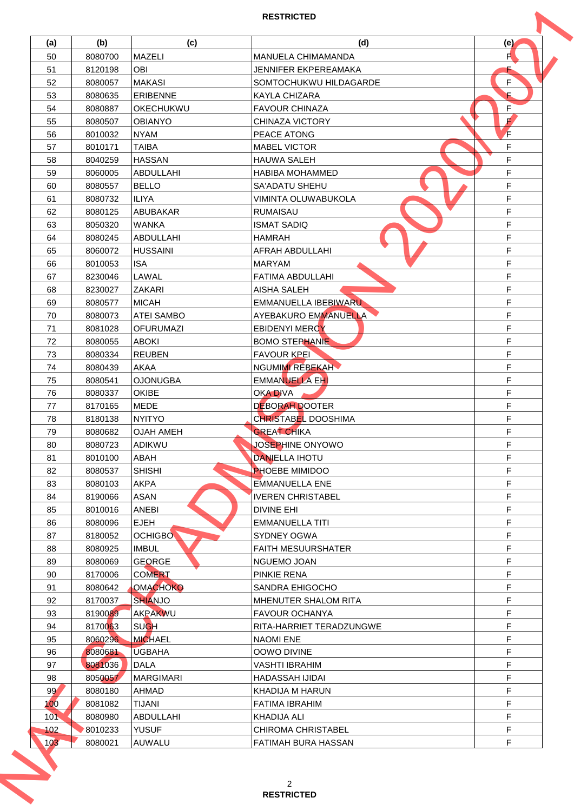| (a) | (b)     | (c)               | (d)                        | (e) |
|-----|---------|-------------------|----------------------------|-----|
| 50  | 8080700 | MAZELI            | MANUELA CHIMAMANDA         | F   |
| 51  | 8120198 | <b>OBI</b>        | JENNIFER EKPEREAMAKA       |     |
| 52  | 8080057 | <b>MAKASI</b>     | SOMTOCHUKWU HILDAGARDE     | F   |
| 53  | 8080635 | <b>ERIBENNE</b>   | <b>KAYLA CHIZARA</b>       | E   |
| 54  | 8080887 | OKECHUKWU         | <b>FAVOUR CHINAZA</b>      | F   |
| 55  | 8080507 | <b>OBIANYO</b>    | CHINAZA VICTORY            | F   |
| 56  | 8010032 | <b>NYAM</b>       | PEACE ATONG                | F   |
| 57  | 8010171 | <b>TAIBA</b>      | <b>MABEL VICTOR</b>        | F   |
| 58  | 8040259 | <b>HASSAN</b>     | <b>HAUWA SALEH</b>         | F   |
| 59  | 8060005 | ABDULLAHI         | HABIBA MOHAMMED            | F   |
| 60  | 8080557 | <b>BELLO</b>      | SA'ADATU SHEHU             | F   |
| 61  | 8080732 | <b>ILIYA</b>      | VIMINTA OLUWABUKOLA        | F   |
| 62  | 8080125 | <b>ABUBAKAR</b>   | <b>RUMAISAU</b>            | F   |
| 63  | 8050320 | <b>WANKA</b>      | <b>ISMAT SADIQ</b>         | F   |
| 64  | 8080245 | ABDULLAHI         | <b>HAMRAH</b>              | F   |
|     |         |                   | AFRAH ABDULLAHI            | F   |
| 65  | 8060072 | <b>HUSSAINI</b>   | <b>MARYAM</b>              | F   |
| 66  | 8010053 | <b>ISA</b>        |                            | F   |
| 67  | 8230046 | LAWAL             | <b>FATIMA ABDULLAHI</b>    |     |
| 68  | 8230027 | <b>ZAKARI</b>     | <b>AISHA SALEH</b>         | F   |
| 69  | 8080577 | <b>MICAH</b>      | EMMANUELLA IBEBIWARU       | F   |
| 70  | 8080073 | <b>ATEI SAMBO</b> | AYEBAKURO EMMANUELLA       | F   |
| 71  | 8081028 | <b>OFURUMAZI</b>  | <b>EBIDENYI MERCY</b>      | F   |
| 72  | 8080055 | <b>ABOKI</b>      | <b>BOMO STEPHANIE</b>      | F   |
| 73  | 8080334 | <b>REUBEN</b>     | <b>FAVOUR KPEI</b>         | F   |
| 74  | 8080439 | <b>AKAA</b>       | NGUMIMI REBEKAH            | F   |
| 75  | 8080541 | <b>OJONUGBA</b>   | EMMANUELLA EHI             | F   |
| 76  | 8080337 | <b>OKIBE</b>      | <b>OKA DIVA</b>            | F   |
| 77  | 8170165 | <b>MEDE</b>       | <b>DEBORAH DOOTER</b>      | F   |
| 78  | 8180138 | <b>NYITYO</b>     | <b>CHRISTABEL DOOSHIMA</b> | F   |
| 79  | 8080682 | <b>OJAH AMEH</b>  | <b>GREAT CHIKA</b>         | F   |
| 80  | 8080723 | ADIKWU            | JOSEPHINE ONYOWO           | F   |
| 81  | 8010100 | ABAH              | <b>DANIELLA IHOTU</b>      | F   |
| 82  | 8080537 | <b>SHISHI</b>     | <b>PHOEBE MIMIDOO</b>      | F   |
| 83  | 8080103 | <b>AKPA</b>       | <b>EMMANUELLA ENE</b>      | F   |
| 84  | 8190066 | ASAN              | <b>IVEREN CHRISTABEL</b>   | F   |
| 85  | 8010016 | ANEBI             | <b>DIVINE EHI</b>          | F   |
| 86  | 8080096 | <b>EJEH</b>       | <b>EMMANUELLA TITI</b>     | F   |
| 87  | 8180052 | <b>OCHIGBO</b>    | <b>SYDNEY OGWA</b>         | F   |
| 88  | 8080925 | <b>IMBUL</b>      | <b>FAITH MESUURSHATER</b>  | F   |
| 89  | 8080069 | <b>GEORGE</b>     | NGUEMO JOAN                | F   |
| 90  | 8170006 | <b>COMERT</b>     | PINKIE RENA                | F   |
| 91  | 8080642 | <b>OMACHOKO</b>   | SANDRA EHIGOCHO            | F   |
| 92  | 8170037 | <b>SHIANJO</b>    | MHENUTER SHALOM RITA       | F   |
| 93  | 8190089 | AKPAKWU           | <b>FAVOUR OCHANYA</b>      | F   |
| 94  | 8170063 | <b>SUGH</b>       | RITA-HARRIET TERADZUNGWE   | F   |
| 95  | 8060296 | <b>MICHAEL</b>    | <b>NAOMI ENE</b>           | F   |
| 96  | 8080681 | <b>UGBAHA</b>     | OOWO DIVINE                | F   |
| 97  | 8081036 | <b>DALA</b>       | <b>VASHTI IBRAHIM</b>      | F   |
| 98  | 8050057 | <b>MARGIMARI</b>  | HADASSAH IJIDAI            | F   |
| 99  | 8080180 | AHMAD             | KHADIJA M HARUN            | F   |
| 100 | 8081082 | <b>TIJANI</b>     | <b>FATIMA IBRAHIM</b>      | F   |
| 101 | 8080980 | ABDULLAHI         | <b>KHADIJA ALI</b>         | F   |
| 102 | 8010233 | <b>YUSUF</b>      | <b>CHIROMA CHRISTABEL</b>  | F   |
|     | 8080021 | <b>AUWALU</b>     | FATIMAH BURA HASSAN        | F   |
| 103 |         |                   |                            |     |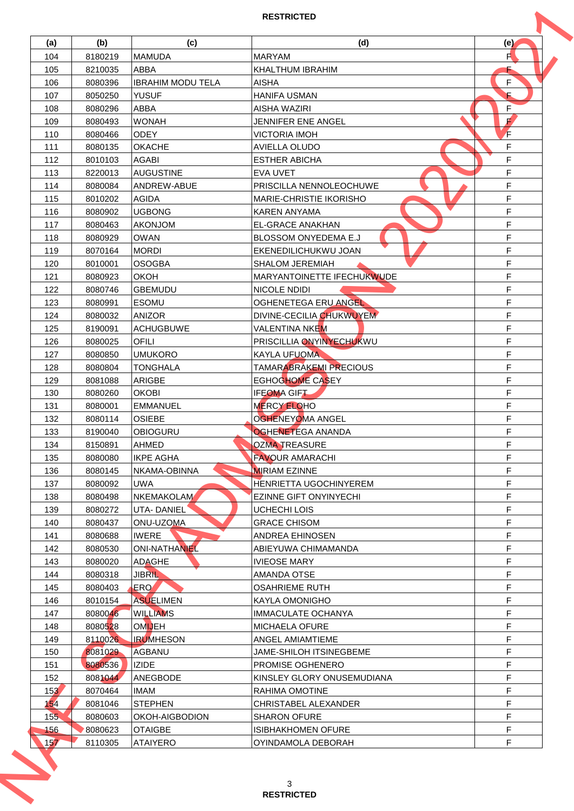| (a) | (b)                | (c)                      | (d)                            | (e) |
|-----|--------------------|--------------------------|--------------------------------|-----|
| 104 | 8180219            | <b>MAMUDA</b>            | <b>MARYAM</b>                  | F   |
| 105 | 8210035            | ABBA                     | KHALTHUM IBRAHIM               |     |
| 106 | 8080396            | <b>IBRAHIM MODU TELA</b> | <b>AISHA</b>                   | F   |
| 107 | 8050250            | <b>YUSUF</b>             | HANIFA USMAN                   | E   |
| 108 | 8080296            | ABBA                     | <b>AISHA WAZIRI</b>            | F   |
| 109 | 8080493            | <b>WONAH</b>             | JENNIFER ENE ANGEL             | F   |
| 110 | 8080466            | <b>ODEY</b>              | <b>VICTORIA IMOH</b>           | F   |
| 111 | 8080135            | <b>OKACHE</b>            | AVIELLA OLUDO                  | F   |
| 112 | 8010103            | <b>AGABI</b>             | <b>ESTHER ABICHA</b>           | F   |
| 113 | 8220013            | <b>AUGUSTINE</b>         | <b>EVA UVET</b>                | F   |
| 114 | 8080084            | ANDREW-ABUE              | PRISCILLA NENNOLEOCHUWE        | F   |
| 115 | 8010202            | <b>AGIDA</b>             | <b>MARIE-CHRISTIE IKORISHO</b> | F   |
| 116 | 8080902            | <b>UGBONG</b>            | <b>KAREN ANYAMA</b>            | F   |
| 117 | 8080463            | <b>AKONJOM</b>           | <b>EL-GRACE ANAKHAN</b>        | F   |
| 118 | 8080929            | <b>OWAN</b>              | BLOSSOM ONYEDEMA E.J           | F   |
| 119 | 8070164            | <b>MORDI</b>             | EKENEDILICHUKWU JOAN           | F   |
| 120 | 8010001            | <b>OSOGBA</b>            | <b>SHALOM JEREMIAH</b>         | F   |
| 121 | 8080923            | <b>OKOH</b>              | MARYANTOINETTE IFECHUKWUDE     | F   |
| 122 | 8080746            | <b>GBEMUDU</b>           | NICOLE NDIDI                   | F   |
| 123 | 8080991            | <b>ESOMU</b>             | <b>OGHENETEGA ERU ANGEL</b>    | F   |
| 124 | 8080032            | <b>ANIZOR</b>            | DIVINE-CECILIA CHUKWUYEM       | F   |
| 125 | 8190091            | <b>ACHUGBUWE</b>         | VALENTINA NKEM                 | F   |
| 126 | 8080025            | <b>OFILI</b>             | PRISCILLIA ONYINYECHUKWU       | F   |
| 127 |                    | <b>UMUKORO</b>           |                                | F   |
|     | 8080850<br>8080804 |                          | <b>KAYLA UFUOMA</b>            |     |
| 128 |                    | TONGHALA                 | <b>TAMARABRAKEMI PRECIOUS</b>  | F   |
| 129 | 8081088            | ARIGBE                   | <b>EGHOGHOME CASEY</b>         | F   |
| 130 | 8080260            | OKOBI                    | <b>IFEOMA GIFT</b>             | F   |
| 131 | 8080001            | <b>EMMANUEL</b>          | <b>MERCY ELOHO</b>             | F   |
| 132 | 8080114            | <b>OSIEBE</b>            | <b>OGHENEYOMA ANGEL</b>        | F   |
| 133 | 8190040            | <b>OBIOGURU</b>          | <b>OGHENETEGA ANANDA</b>       | F   |
| 134 | 8150891            | AHMED                    | <b>OZMA TREASURE</b>           | F   |
| 135 | 8080080            | IKPE AGHA                | FAVOUR AMARACHI                | F   |
| 136 | 8080145            | NKAMA-OBINNA             | <b>MIRIAM EZINNE</b>           | F   |
| 137 | 8080092            | <b>UWA</b>               | HENRIETTA UGOCHINYEREM         | F   |
| 138 | 8080498            | <b>NKEMAKOLAM</b>        | <b>EZINNE GIFT ONYINYECHI</b>  | F   |
| 139 | 8080272            | UTA-DANIEL               | UCHECHI LOIS                   | F   |
| 140 | 8080437            | ONU-UZOMA                | <b>GRACE CHISOM</b>            | F   |
| 141 | 8080688            | <b>IWERE</b>             | <b>ANDREA EHINOSEN</b>         | F   |
| 142 | 8080530            | <b>ONI-NATHANIEL</b>     | ABIEYUWA CHIMAMANDA            | F   |
| 143 | 8080020            | <b>ADAGHE</b>            | <b>IVIEOSE MARY</b>            | F   |
| 144 | 8080318            | <b>JIBRIL</b>            | AMANDA OTSE                    | F   |
| 145 | 8080403            | ERO <sup>1</sup>         | <b>OSAHRIEME RUTH</b>          | F   |
| 146 | 8010154            | <b>ASUELIMEN</b>         | KAYLA OMONIGHO                 | F   |
| 147 | 8080046            | <b>WILLIAMS</b>          | <b>IMMACULATE OCHANYA</b>      | F   |
| 148 | 8080528            | <b>OMUEH</b>             | <b>MICHAELA OFURE</b>          | F   |
| 149 | 8110026            | <b>IRUMHESON</b>         | ANGEL AMIAMTIEME               | F   |
| 150 | 8081029            | <b>AGBANU</b>            | JAME-SHILOH ITSINEGBEME        | F   |
| 151 | 8080536            | <b>IZIDE</b>             | <b>PROMISE OGHENERO</b>        | F   |
| 152 | 8081044            | ANEGBODE                 | KINSLEY GLORY ONUSEMUDIANA     | F   |
| 153 | 8070464            | IMAM                     | RAHIMA OMOTINE                 | F   |
| 154 | 8081046            | <b>STEPHEN</b>           | CHRISTABEL ALEXANDER           | F   |
| 155 | 8080603            | OKOH-AIGBODION           | <b>SHARON OFURE</b>            | F   |
| 156 | 8080623            | <b>OTAIGBE</b>           | <b>ISIBHAKHOMEN OFURE</b>      | F   |
| 157 | 8110305            | <b>ATAIYERO</b>          | OYINDAMOLA DEBORAH             | F   |
|     |                    |                          |                                |     |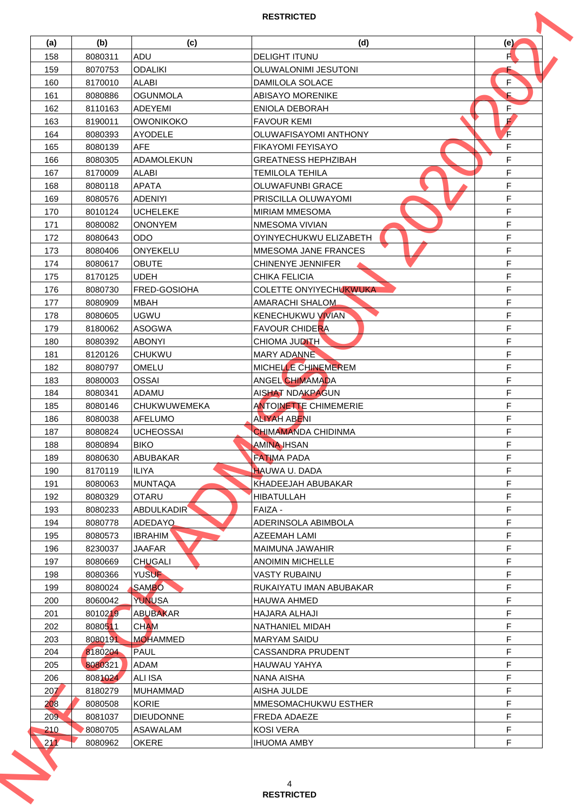|     |         |                  | <b>RESTRICTED</b>             |     |
|-----|---------|------------------|-------------------------------|-----|
| (a) | (b)     | (c)              | (d)                           | (e) |
| 158 | 8080311 | ADU              | <b>DELIGHT ITUNU</b>          | F   |
| 159 | 8070753 | <b>ODALIKI</b>   | OLUWALONIMI JESUTONI          |     |
| 160 | 8170010 | <b>ALABI</b>     | DAMILOLA SOLACE               | F   |
| 161 | 8080886 | <b>OGUNMOLA</b>  | <b>ABISAYO MORENIKE</b>       | E   |
| 162 | 8110163 | <b>ADEYEMI</b>   | <b>ENIOLA DEBORAH</b>         | F   |
| 163 | 8190011 | <b>OWONIKOKO</b> | <b>FAVOUR KEMI</b>            | F   |
| 164 | 8080393 | <b>AYODELE</b>   | OLUWAFISAYOMI ANTHONY         | F   |
| 165 | 8080139 | <b>AFE</b>       | <b>FIKAYOMI FEYISAYO</b>      | F   |
| 166 | 8080305 | ADAMOLEKUN       | <b>GREATNESS HEPHZIBAH</b>    | F   |
| 167 | 8170009 | <b>ALABI</b>     | <b>TEMILOLA TEHILA</b>        | F   |
| 168 | 8080118 | <b>APATA</b>     | <b>OLUWAFUNBI GRACE</b>       | F   |
| 169 | 8080576 | <b>ADENIYI</b>   | PRISCILLA OLUWAYOMI           | F   |
| 170 | 8010124 | <b>UCHELEKE</b>  | <b>MIRIAM MMESOMA</b>         | F   |
| 171 | 8080082 | <b>ONONYEM</b>   | NMESOMA VIVIAN                | F   |
| 172 | 8080643 | <b>ODO</b>       | OYINYECHUKWU ELIZABETH        | F   |
| 173 | 8080406 | <b>ONYEKELU</b>  | MMESOMA JANE FRANCES          | F   |
| 174 | 8080617 | <b>OBUTE</b>     | CHINENYE JENNIFER             | F   |
| 175 | 8170125 | <b>UDEH</b>      | <b>CHIKA FELICIA</b>          | F   |
| 176 | 8080730 | FRED-GOSIOHA     | <b>COLETTE ONYIYECHUKWUKA</b> | F   |
| 177 | 8080909 | <b>MBAH</b>      | AMARACHI SHALOM               | F   |
| 178 | 8080605 | <b>UGWU</b>      | <b>KENECHUKWU VIVIAN</b>      | F   |
| 179 | 8180062 | <b>ASOGWA</b>    | <b>FAVOUR CHIDERA</b>         | F   |
| 180 | 8080392 | <b>ABONYI</b>    | <b>CHIOMA JUDITH</b>          | F   |
| 181 | 8120126 | <b>CHUKWU</b>    | MARY ADANNE                   | F   |
| 182 | 8080797 | OMELU            | MICHELLE CHINEMEREM           | F   |
| 183 | 8080003 | <b>OSSAI</b>     | <b>ANGEL CHIMAMADA</b>        | F   |
| 184 | 8080341 | ADAMU            | <b>AISHAT NDAKPAGUN</b>       | F   |
| 185 | 8080146 | CHUKWUWEMEKA     | <b>ANTOINETTE CHIMEMERIE</b>  | F   |
| 186 | 8080038 | <b>AFELUMO</b>   | <b>ALIYAH ABENI</b>           | F   |
| 187 | 8080824 | <b>UCHEOSSAI</b> | <b>CHIMAMANDA CHIDINMA</b>    | F   |
| 188 | 8080894 | <b>BIKO</b>      | AMINA IHSAN                   | F   |
| 189 | 8080630 | ABUBAKAR         | <b>FATIMA PADA</b>            | F   |
| 190 | 8170119 | <b>ILIYA</b>     | <b>HAUWA U. DADA</b>          | F   |
| 191 | 8080063 | <b>MUNTAQA</b>   | KHADEEJAH ABUBAKAR            | F   |
| 192 | 8080329 | <b>OTARU</b>     | <b>HIBATULLAH</b>             | F   |
| 193 | 8080233 | ABDULKADIR       | FAIZA -                       | F   |
| 194 | 8080778 | ADEDAYO          | ADERINSOLA ABIMBOLA           | F   |
| 195 | 8080573 | <b>IBRAHIM</b>   | <b>AZEEMAH LAMI</b>           | F   |
| 196 | 8230037 | <b>JAAFAR</b>    | <b>MAIMUNA JAWAHIR</b>        | F   |
| 197 | 8080669 | <b>CHUGALI</b>   | <b>ANOIMIN MICHELLE</b>       | F   |
| 198 | 8080366 | <b>YUSUF</b>     | <b>VASTY RUBAINU</b>          | F   |
| 199 | 8080024 | <b>SAMBO</b>     | RUKAIYATU IMAN ABUBAKAR       | F   |
| 200 | 8060042 | <b>YUNUSA</b>    | <b>HAUWA AHMED</b>            | F   |
| 201 | 8010219 | <b>ABUBAKAR</b>  | HAJARA ALHAJI                 | F   |
| 202 | 8080511 | <b>CHAM</b>      | NATHANIEL MIDAH               | F   |
| 203 | 8080191 | <b>MOHAMMED</b>  | <b>MARYAM SAIDU</b>           | F   |
| 204 | 8180204 | <b>PAUL</b>      | <b>CASSANDRA PRUDENT</b>      | F   |
| 205 | 8080321 | ADAM             | <b>HAUWAU YAHYA</b>           | F   |
| 206 | 8081024 | ALI ISA          | NANA AISHA                    | F   |
| 207 | 8180279 | <b>MUHAMMAD</b>  | AISHA JULDE                   | F   |
| 208 | 8080508 | <b>KORIE</b>     | MMESOMACHUKWU ESTHER          | F   |
| 209 | 8081037 | <b>DIEUDONNE</b> | FREDA ADAEZE                  | F   |
| 210 | 8080705 | ASAWALAM         | <b>KOSI VERA</b>              | F   |
| 211 | 8080962 | <b>OKERE</b>     | <b>IHUOMA AMBY</b>            | F   |
|     |         |                  | 4                             |     |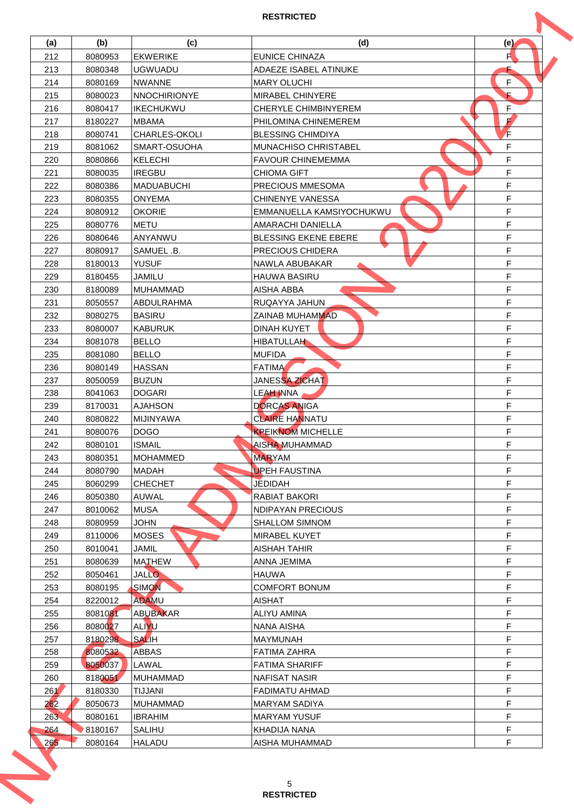| (a) | (b)     | (c)                 | (d)                         |        |
|-----|---------|---------------------|-----------------------------|--------|
|     |         |                     |                             | (e)    |
| 212 | 8080953 | <b>EKWERIKE</b>     | <b>EUNICE CHINAZA</b>       | F      |
| 213 | 8080348 | <b>UGWUADU</b>      | ADAEZE ISABEL ATINUKE       |        |
| 214 | 8080169 | <b>NWANNE</b>       | <b>MARY OLUCHI</b>          | F      |
| 215 | 8080023 | <b>NNOCHIRIONYE</b> | <b>MIRABEL CHINYERE</b>     | E      |
| 216 | 8080417 | <b>IKECHUKWU</b>    | <b>CHERYLE CHIMBINYEREM</b> | F      |
| 217 | 8180227 | <b>MBAMA</b>        | PHILOMINA CHINEMEREM        | F      |
| 218 | 8080741 | CHARLES-OKOLI       | <b>BLESSING CHIMDIYA</b>    | F      |
| 219 | 8081062 | SMART-OSUOHA        | <b>MUNACHISO CHRISTABEL</b> | F      |
| 220 | 8080866 | <b>KELECHI</b>      | <b>FAVOUR CHINEMEMMA</b>    | F      |
| 221 | 8080035 | <b>IREGBU</b>       | <b>CHIOMA GIFT</b>          | F      |
| 222 | 8080386 | <b>MADUABUCHI</b>   | PRECIOUS MMESOMA            | F      |
| 223 | 8080355 | <b>ONYEMA</b>       | <b>CHINENYE VANESSA</b>     | F      |
| 224 | 8080912 | <b>OKORIE</b>       | EMMANUELLA KAMSIYOCHUKWU    | F      |
| 225 | 8080776 | <b>METU</b>         | <b>AMARACHI DANIELLA</b>    | F      |
| 226 | 8080646 | ANYANWU             | <b>BLESSING EKENE EBERE</b> | F      |
| 227 | 8080917 | SAMUEL .B.          | PRECIOUS CHIDERA            | F      |
| 228 | 8180013 | <b>YUSUF</b>        | NAWLA ABUBAKAR              | F      |
| 229 | 8180455 | <b>JAMILU</b>       | <b>HAUWA BASIRU</b>         | F      |
| 230 | 8180089 | <b>MUHAMMAD</b>     | AISHA ABBA                  | F      |
| 231 | 8050557 | ABDULRAHMA          | RUQAYYA JAHUN               | F      |
| 232 | 8080275 | <b>BASIRU</b>       | <b>ZAINAB MUHAMMAD</b>      | F      |
| 233 | 8080007 | <b>KABURUK</b>      | <b>DINAH KUYET</b>          | F      |
| 234 | 8081078 | <b>BELLO</b>        | <b>HIBATULLAH</b>           | F      |
| 235 | 8081080 | <b>BELLO</b>        | <b>MUFIDA</b>               | F      |
| 236 | 8080149 | <b>HASSAN</b>       | <b>FATIMA</b>               | F      |
| 237 | 8050059 | <b>BUZUN</b>        | JANESSA ZICHAT              | F      |
| 238 | 8041063 | <b>DOGARI</b>       | LEAH INNA                   | F      |
| 239 | 8170031 | <b>AJAHSON</b>      | <b>DORCAS ANIGA</b>         | F      |
| 240 | 8080822 | <b>MIJINYAWA</b>    | <b>CLAIRE HANNATU</b>       | F      |
| 241 | 8080076 | <b>DOGO</b>         | <b>KPEIKNOM MICHELLE</b>    | F      |
| 242 | 8080101 | <b>ISMAIL</b>       | AISHA MUHAMMAD              | F      |
| 243 | 8080351 | MOHAMMED            | <b>MARYAM</b>               | F      |
| 244 | 8080790 | <b>MADAH</b>        | <b>UPEH FAUSTINA</b>        | F      |
| 245 | 8060299 | <b>CHECHET</b>      | JĒDIDAH                     | F      |
| 246 | 8050380 | <b>AUWAL</b>        | RABIAT BAKORI               | F      |
| 247 | 8010062 | <b>MUSA</b>         | NDIPAYAN PRECIOUS           | F      |
| 248 | 8080959 | <b>JOHN</b>         | <b>SHALLOM SIMNOM</b>       | F      |
| 249 | 8110006 | <b>MOSES</b>        | MIRABEL KUYET               | F      |
| 250 | 8010041 | JAMIL               | <b>AISHAH TAHIR</b>         | F      |
| 251 | 8080639 | <b>MATHEW</b>       | ANNA JEMIMA                 | F      |
| 252 | 8050461 | <b>JALLO</b>        | <b>HAUWA</b>                | F      |
| 253 | 8080195 | <b>SIMON</b>        | <b>COMFORT BONUM</b>        | F      |
|     | 8220012 | <b>ADAMU</b>        | <b>AISHAT</b>               | F      |
| 254 |         |                     |                             | F      |
| 255 | 8081081 | <b>ABUBAKAR</b>     | ALIYU AMINA                 |        |
| 256 | 8080027 | <b>ALIYU</b>        | NANA AISHA                  | F      |
| 257 | 8180298 | <b>SALIH</b>        | <b>MAYMUNAH</b>             | F      |
| 258 | 8080532 | <b>ABBAS</b>        | <b>FATIMA ZAHRA</b>         | F      |
| 259 | 8050037 | LAWAL               | <b>FATIMA SHARIFF</b>       | F      |
| 260 | 8180051 | <b>MUHAMMAD</b>     | <b>NAFISAT NASIR</b>        | F      |
| 261 | 8180330 | TIJJANI             | <b>FADIMATU AHMAD</b>       | F      |
| 262 | 8050673 | MUHAMMAD            | <b>MARYAM SADIYA</b>        | F      |
|     | 8080161 | <b>IBRAHIM</b>      | <b>MARYAM YUSUF</b>         |        |
| 264 | 8180167 | <b>SALIHU</b>       | <b>KHADIJA NANA</b>         |        |
| 265 | 8080164 | <b>HALADU</b>       | AISHA MUHAMMAD              | F      |
| 263 |         |                     | 5                           | F<br>F |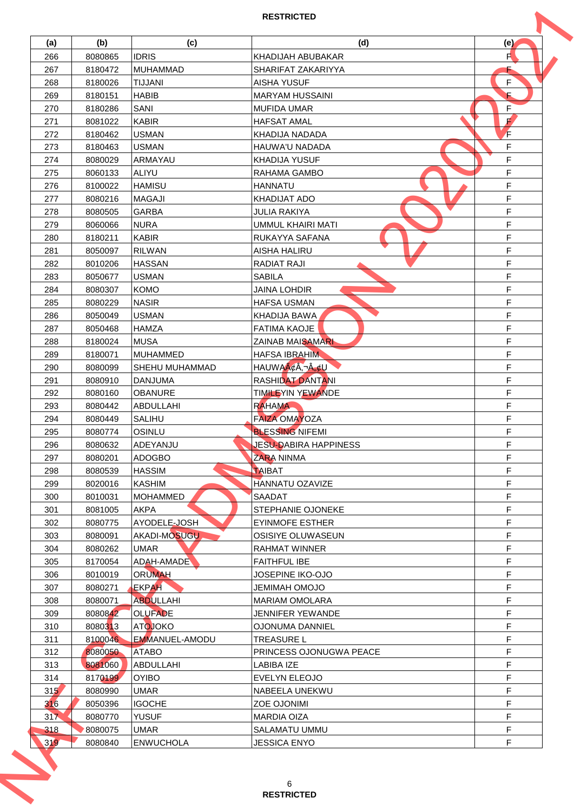| (a) | (b)     | (c)              | (d)                          | (e)    |
|-----|---------|------------------|------------------------------|--------|
| 266 | 8080865 | <b>IDRIS</b>     | KHADIJAH ABUBAKAR            | F      |
| 267 | 8180472 | <b>MUHAMMAD</b>  | SHARIFAT ZAKARIYYA           |        |
| 268 | 8180026 | <b>TIJJANI</b>   | <b>AISHA YUSUF</b>           | F      |
| 269 | 8180151 | <b>HABIB</b>     | <b>MARYAM HUSSAINI</b>       | E      |
| 270 | 8180286 | SANI             | <b>MUFIDA UMAR</b>           | F      |
| 271 | 8081022 | <b>KABIR</b>     | <b>HAFSAT AMAL</b>           | F      |
| 272 | 8180462 | <b>USMAN</b>     | KHADIJA NADADA               | F      |
| 273 | 8180463 | <b>USMAN</b>     | HAUWA'U NADADA               | F      |
| 274 | 8080029 | ARMAYAU          | <b>KHADIJA YUSUF</b>         | F      |
| 275 | 8060133 | ALIYU            | RAHAMA GAMBO                 | F      |
| 276 | 8100022 | <b>HAMISU</b>    | <b>HANNATU</b>               | F      |
| 277 | 8080216 | <b>MAGAJI</b>    | KHADIJAT ADO                 | F      |
| 278 | 8080505 | <b>GARBA</b>     | <b>JULIA RAKIYA</b>          | F      |
| 279 | 8060066 | <b>NURA</b>      | <b>UMMUL KHAIRI MATI</b>     | F      |
| 280 | 8180211 | <b>KABIR</b>     | RUKAYYA SAFANA               | F      |
| 281 | 8050097 | <b>RILWAN</b>    | <b>AISHA HALIRU</b>          | F      |
| 282 | 8010206 | <b>HASSAN</b>    | <b>RADIAT RAJI</b>           | F      |
| 283 | 8050677 | <b>USMAN</b>     | <b>SABILA</b>                | F      |
| 284 | 8080307 | <b>KOMO</b>      | <b>JAINA LOHDIR</b>          | F      |
| 285 | 8080229 | <b>NASIR</b>     | <b>HAFSA USMAN</b>           | F      |
| 286 | 8050049 | <b>USMAN</b>     | KHADIJA BAWA                 | F      |
| 287 | 8050468 | <b>HAMZA</b>     | <b>FATIMA KAOJE</b>          | F      |
| 288 | 8180024 | <b>MUSA</b>      | <b>ZAINAB MAISAMARI</b>      | F      |
| 289 | 8180071 | <b>MUHAMMED</b>  | <b>HAFSA IBRAHIM</b>         | F      |
|     |         |                  |                              |        |
| 290 | 8080099 | SHEHU MUHAMMAD   | HAUWAA¢Â,¬Â"¢U               | F      |
| 291 | 8080910 | <b>DANJUMA</b>   | <b>RASHIDAT DANTANI</b>      | F      |
| 292 | 8080160 | <b>OBANURE</b>   | <b>TIMILEYIN YEWANDE</b>     | F<br>F |
| 293 | 8080442 | ABDULLAHI        | <b>RAHAMA</b>                |        |
| 294 | 8080449 | <b>SALIHU</b>    | <b>FAIZA OMAYOZA</b>         | F      |
| 295 | 8080774 | OSINLU           | <b>BLESSING NIFEMI</b>       | F      |
| 296 | 8080632 | ADEYANJU         | <b>JESU-DABIRA HAPPINESS</b> | F      |
| 297 | 8080201 | <b>ADOGBO</b>    | <b>ZARA NINMA</b>            | F      |
| 298 | 8080539 | <b>HASSIM</b>    | TAIBAT                       | F      |
| 299 | 8020016 | <b>KASHIM</b>    | HANNATU OZAVIZE              | F      |
| 300 | 8010031 | MOHAMMED         | SAADAT                       | F      |
| 301 | 8081005 | <b>AKPA</b>      | STEPHANIE OJONEKE            | F      |
| 302 | 8080775 | AYODELE-JOSH     | <b>EYINMOFE ESTHER</b>       | F      |
| 303 | 8080091 | AKADI-MOSUGU     | <b>OSISIYE OLUWASEUN</b>     | F      |
| 304 | 8080262 | <b>UMAR</b>      | <b>RAHMAT WINNER</b>         | F      |
| 305 | 8170054 | ADAH-AMADE       | <b>FAITHFUL IBE</b>          | F      |
| 306 | 8010019 | <b>ORUMAH</b>    | JOSEPINE IKO-OJO             | F      |
| 307 | 8080271 | <b>EKPAH</b>     | JEMIMAH OMOJO                | F      |
| 308 | 8080071 | <b>ABDULLAHI</b> | <b>MARIAM OMOLARA</b>        | F      |
| 309 | 8080842 | <b>OLUFADE</b>   | <b>JENNIFER YEWANDE</b>      | F      |
| 310 | 8080313 | <b>ATOJOKO</b>   | <b>OJONUMA DANNIEL</b>       | F      |
| 311 | 8100046 | EMMANUEL-AMODU   | <b>TREASURE L</b>            | F      |
| 312 | 8080050 | <b>ATABO</b>     | PRINCESS OJONUGWA PEACE      | F      |
| 313 | 8081060 | ABDULLAHI        | LABIBA IZE                   | F      |
| 314 | 8170199 | <b>OYIBO</b>     | <b>EVELYN ELEOJO</b>         | F      |
| 315 | 8080990 | <b>UMAR</b>      | NABEELA UNEKWU               | F      |
| 316 | 8050396 | <b>IGOCHE</b>    | <b>ZOE OJONIMI</b>           | F      |
| 317 | 8080770 | <b>YUSUF</b>     | <b>MARDIA OIZA</b>           | F      |
| 318 | 8080075 | <b>UMAR</b>      | SALAMATU UMMU                | F      |
| 319 | 8080840 | <b>ENWUCHOLA</b> | <b>JESSICA ENYO</b>          | F      |
|     |         |                  |                              |        |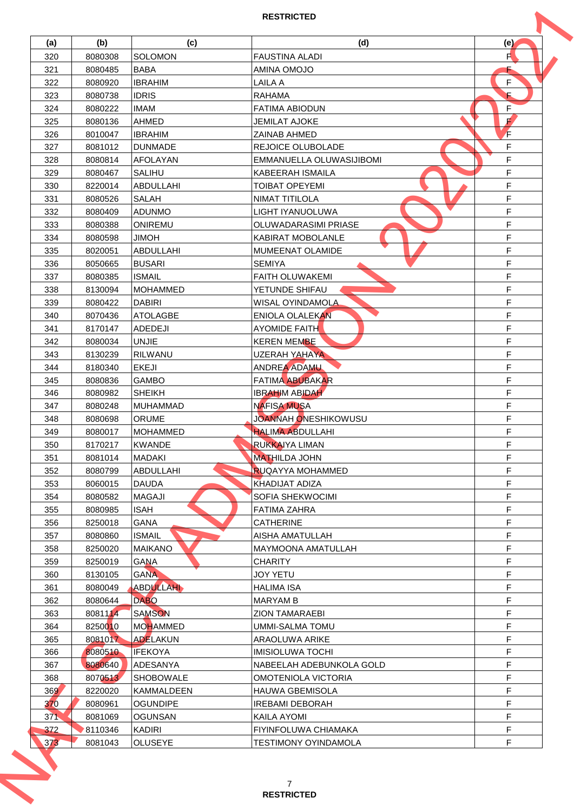|     | (b)                | (c)               | (d)                         | (e) |
|-----|--------------------|-------------------|-----------------------------|-----|
| 320 | 8080308            | SOLOMON           | <b>FAUSTINA ALADI</b>       | F   |
| 321 | 8080485            | <b>BABA</b>       | AMINA OMOJO                 |     |
| 322 | 8080920            | <b>IBRAHIM</b>    | LAILA A                     | F   |
| 323 | 8080738            | <b>IDRIS</b>      | <b>RAHAMA</b>               | E   |
| 324 | 8080222            | <b>IMAM</b>       | <b>FATIMA ABIODUN</b>       | F   |
| 325 | 8080136            | <b>AHMED</b>      | <b>JEMILAT AJOKE</b>        | F   |
| 326 | 8010047            | <b>IBRAHIM</b>    | ZAINAB AHMED                | F   |
| 327 | 8081012            | <b>DUNMADE</b>    | REJOICE OLUBOLADE           | F   |
| 328 | 8080814            | <b>AFOLAYAN</b>   | EMMANUELLA OLUWASIJIBOMI    | F   |
| 329 | 8080467            | <b>SALIHU</b>     | KABEERAH ISMAILA            | F   |
| 330 | 8220014            | <b>ABDULLAHI</b>  | TOIBAT OPEYEMI              | F   |
| 331 | 8080526            | SALAH             | NIMAT TITILOLA              | F   |
| 332 | 8080409            | <b>ADUNMO</b>     | <b>LIGHT IYANUOLUWA</b>     | F   |
| 333 | 8080388            | ONIREMU           | <b>OLUWADARASIMI PRIASE</b> | F   |
| 334 | 8080598            | <b>JIMOH</b>      | <b>KABIRAT MOBOLANLE</b>    | F   |
|     |                    |                   |                             | F   |
| 335 | 8020051            | ABDULLAHI         | MUMEENAT OLAMIDE            |     |
| 336 | 8050665            | <b>BUSARI</b>     | <b>SEMIYA</b>               | F   |
| 337 | 8080385            | <b>ISMAIL</b>     | <b>FAITH OLUWAKEMI</b>      | F   |
| 338 | 8130094            | <b>MOHAMMED</b>   | YETUNDE SHIFAU              | F   |
| 339 | 8080422            | <b>DABIRI</b>     | WISAL OYINDAMOLA            | F   |
| 340 | 8070436            | <b>ATOLAGBE</b>   | ENIOLA OLALEKAN             | F   |
| 341 | 8170147            | ADEDEJI           | <b>AYOMIDE FAITH</b>        | F   |
| 342 | 8080034            | <b>UNJIE</b>      | <b>KEREN MEMBE</b>          | F   |
| 343 | 8130239            | <b>RILWANU</b>    | UZERAH YAHAYA               | F   |
| 344 | 8180340            | <b>EKEJI</b>      | <b>ANDREA ADAMU</b>         | F   |
| 345 | 8080836            | <b>GAMBO</b>      | <b>FATIMA ABUBAKAR</b>      | F   |
| 346 | 8080982            | <b>SHEIKH</b>     | <b>IBRAHIM ABIDAH</b>       | F   |
| 347 | 8080248            | <b>MUHAMMAD</b>   | <b>NAFISA MUSA</b>          | F   |
| 348 | 8080698            | <b>ORUME</b>      | JOANNAH ONESHIKOWUSU        | F   |
| 349 | 8080017            | <b>MOHAMMED</b>   | <b>HALIMA ABDULLAHI</b>     | F   |
| 350 | 8170217            | <b>KWANDE</b>     | RUKKAIYA LIMAN              | F   |
| 351 | 8081014            | MADAKI            | <b>MATHILDA JOHN</b>        | F   |
| 352 | 8080799            | ABDULLAHI         | <b>RUQAYYA MOHAMMED</b>     | F   |
| 353 | 8060015            | <b>DAUDA</b>      | KHADIJAT ADIZA              | F   |
| 354 | 8080582            | MAGAJI            | SOFIA SHEKWOCIMI            | F   |
| 355 | 8080985            | <b>ISAH</b>       | <b>FATIMA ZAHRA</b>         | F   |
| 356 | 8250018            | GANA              | <b>CATHERINE</b>            | F   |
| 357 | 8080860            | <b>ISMAIL</b>     | AISHA AMATULLAH             | F   |
| 358 | 8250020            | <b>MAIKANO</b>    | <b>MAYMOONA AMATULLAH</b>   | F   |
| 359 | 8250019            | <b>GANA</b>       | <b>CHARITY</b>              | F   |
| 360 |                    | <b>GANA</b>       | <b>JOY YETU</b>             | F   |
| 361 | 8130105<br>8080049 | ABDULLAHI         | <b>HALIMA ISA</b>           | F   |
|     |                    | <b>DABO</b>       |                             | F   |
| 362 | 8080644            |                   | <b>MARYAM B</b>             |     |
| 363 | 8081114            | <b>SAMSON</b>     | <b>ZION TAMARAEBI</b>       | F   |
| 364 | 8250010            | <b>MOHAMMED</b>   | <b>UMMI-SALMA TOMU</b>      | F   |
| 365 | 8081017            | <b>ADELAKUN</b>   | <b>ARAOLUWA ARIKE</b>       | F   |
| 366 | 8080510            | <b>IFEKOYA</b>    | <b>IMISIOLUWA TOCHI</b>     | F   |
| 367 | 8080640            | ADESANYA          | NABEELAH ADEBUNKOLA GOLD    | F   |
| 368 | 8070513            | <b>SHOBOWALE</b>  | OMOTENIOLA VICTORIA         | F   |
| 369 | 8220020            | <b>KAMMALDEEN</b> | <b>HAUWA GBEMISOLA</b>      | F   |
| 370 | 8080961            | <b>OGUNDIPE</b>   | <b>IREBAMI DEBORAH</b>      | F   |
| 371 | 8081069            | <b>OGUNSAN</b>    | KAILA AYOMI                 | F   |
|     | 8110346            | <b>KADIRI</b>     | FIYINFOLUWA CHIAMAKA        | F   |
| 372 |                    |                   | <b>TESTIMONY OYINDAMOLA</b> | F   |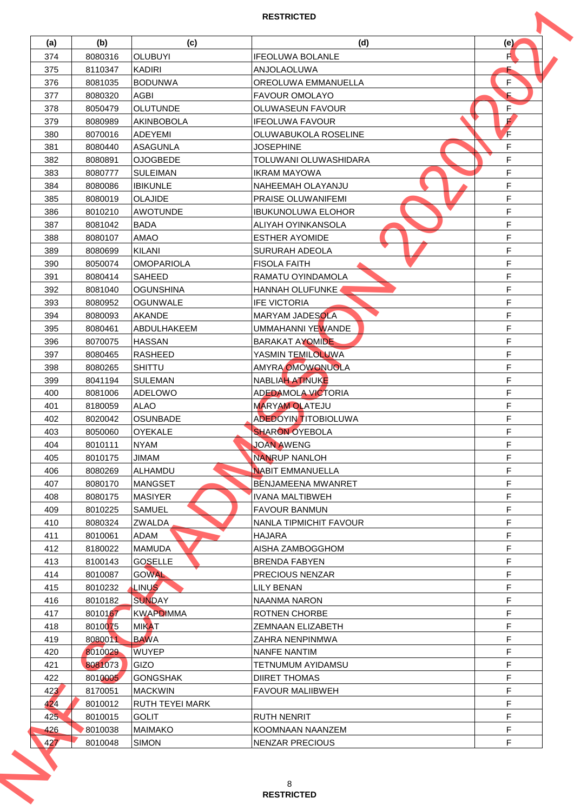| (a)        |         |                   |                                            |     |
|------------|---------|-------------------|--------------------------------------------|-----|
|            | (b)     | (c)               | (d)                                        | (e) |
| 374        | 8080316 | <b>OLUBUYI</b>    | <b>IFEOLUWA BOLANLE</b>                    | F   |
| 375        | 8110347 | <b>KADIRI</b>     | <b>ANJOLAOLUWA</b>                         |     |
| 376        | 8081035 | <b>BODUNWA</b>    | OREOLUWA EMMANUELLA                        | F   |
| 377        | 8080320 | AGBI              | <b>FAVOUR OMOLAYO</b>                      | E   |
| 378        | 8050479 | <b>OLUTUNDE</b>   | <b>OLUWASEUN FAVOUR</b>                    | F   |
| 379        | 8080989 | <b>AKINBOBOLA</b> | <b>IFEOLUWA FAVOUR</b>                     | F   |
| 380        | 8070016 | <b>ADEYEMI</b>    | OLUWABUKOLA ROSELINE                       | F   |
| 381        | 8080440 | <b>ASAGUNLA</b>   | <b>JOSEPHINE</b>                           | F   |
| 382        | 8080891 | <b>OJOGBEDE</b>   | TOLUWANI OLUWASHIDARA                      | F   |
| 383        | 8080777 | <b>SULEIMAN</b>   | <b>IKRAM MAYOWA</b>                        | F   |
| 384        | 8080086 | <b>IBIKUNLE</b>   | NAHEEMAH OLAYANJU                          | F   |
| 385        | 8080019 | <b>OLAJIDE</b>    | <b>PRAISE OLUWANIFEMI</b>                  | F   |
| 386        | 8010210 | <b>AWOTUNDE</b>   | <b>IBUKUNOLUWA ELOHOR</b>                  | F   |
| 387        | 8081042 | <b>BADA</b>       | ALIYAH OYINKANSOLA                         | F   |
| 388        | 8080107 | <b>AMAO</b>       | <b>ESTHER AYOMIDE</b>                      | F   |
| 389        | 8080699 | KILANI            | <b>SURURAH ADEOLA</b>                      | F   |
| 390        | 8050074 | <b>OMOPARIOLA</b> | <b>FISOLA FAITH</b>                        | F   |
| 391        | 8080414 | SAHEED            | RAMATU OYINDAMOLA                          | F   |
| 392        | 8081040 | <b>OGUNSHINA</b>  | HANNAH OLUFUNKE                            | F   |
| 393        | 8080952 | <b>OGUNWALE</b>   | <b>IFE VICTORIA</b>                        | F   |
| 394        | 8080093 | <b>AKANDE</b>     | MARYAM JADESOLA                            | F   |
| 395        | 8080461 | ABDULHAKEEM       | UMMAHANNI YEWANDE                          | F   |
| 396        | 8070075 | <b>HASSAN</b>     | <b>BARAKAT AYOMIDE</b>                     | F   |
| 397        | 8080465 | <b>RASHEED</b>    | YASMIN TEMILOLUWA                          | F   |
| 398        | 8080265 | <b>SHITTU</b>     | <b>AMYRA OMOWONUOLA</b>                    | F   |
| 399        | 8041194 | <b>SULEMAN</b>    | NABLIAH ATINUKE                            | F   |
| 400        | 8081006 | ADELOWO           | <b>ADEDAMOLA VICTORIA</b>                  | F   |
| 401        | 8180059 | <b>ALAO</b>       | <b>MARYAM OLATEJU</b>                      | F   |
| 402        | 8020042 | OSUNBADE          | <b>ADEDOYIN TITOBIOLUWA</b>                | F   |
| 403        | 8050060 | OYEKALE           | <b>SHARON OYEBOLA</b>                      | F   |
| 404        | 8010111 | <b>NYAM</b>       | JOAN AWENG                                 | F   |
| 405        | 8010175 | <b>JIMAM</b>      | <b>NANRUP NANLOH</b>                       | F   |
| 406        | 8080269 | ALHAMDU           | <b>NABIT EMMANUELLA</b>                    | F   |
| 407        | 8080170 | <b>MANGSET</b>    | BENJAMEENA MWANRET                         | F   |
| 408        | 8080175 | <b>MASIYER</b>    | IVANA MALTIBWEH                            | F   |
| 409        | 8010225 | SAMUEL            | <b>FAVOUR BANMUN</b>                       | F   |
| 410        | 8080324 | ZWALDA            | NANLA TIPMICHIT FAVOUR                     | F   |
| 411        | 8010061 | ADAM              | <b>HAJARA</b>                              | F   |
| 412        | 8180022 | <b>MAMUDA</b>     | AISHA ZAMBOGGHOM                           | F   |
| 413        | 8100143 | <b>GOSELLE</b>    | <b>BRENDA FABYEN</b>                       | F   |
| 414        | 8010087 | <b>GOWAL</b>      | PRECIOUS NENZAR                            | F   |
| 415        | 8010232 | <b>LINUS</b>      | LILY BENAN                                 | F   |
| 416        | 8010182 | <b>SUNDAY</b>     | NAANMA NARON                               | F   |
| 417        | 8010167 | <b>KWAPDIMMA</b>  | <b>ROTNEN CHORBE</b>                       | F   |
| 418        | 8010075 | <b>MIKAT</b>      | ZEMNAAN ELIZABETH                          | F   |
| 419        | 8080011 | <b>BAWA</b>       | ZAHRA NENPINMWA                            | F   |
| 420        | 8010029 | <b>WUYEP</b>      | NANFE NANTIM                               | F   |
| 421        | 8081073 | GIZO              | TETNUMUM AYIDAMSU                          | F   |
| 422        | 8010005 | <b>GONGSHAK</b>   | <b>DIIRET THOMAS</b>                       | F   |
| 423        | 8170051 | <b>MACKWIN</b>    | <b>FAVOUR MALIIBWEH</b>                    | F   |
| 424        | 8010012 | RUTH TEYEI MARK   |                                            | F   |
| 425        |         |                   |                                            | F   |
|            | 8010015 | <b>GOLIT</b>      | <b>RUTH NENRIT</b>                         | F   |
| 426<br>427 | 8010038 | <b>MAIMAKO</b>    | KOOMNAAN NAANZEM<br><b>NENZAR PRECIOUS</b> | F   |
|            | 8010048 | <b>SIMON</b>      |                                            |     |